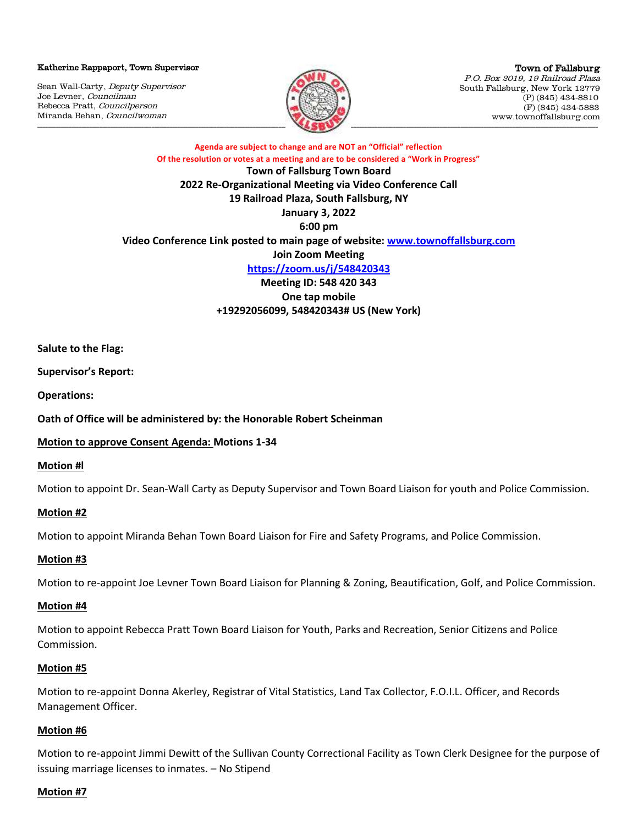Katherine Rappaport, Town Supervisor

Sean Wall-Carty, Deputy Supervisor Joe Levner, Councilman Rebecca Pratt, Councilperson Miranda Behan, Councilwoman



Town of Fallsburg P.O. Box 2019, 19 Railroad Plaza South Fallsburg, New York 12779 (P) (845) 434-8810 (F) (845) 434-5883 www.townoffallsburg.com

**Agenda are subject to change and are NOT an "Official" reflection Of the resolution or votes at a meeting and are to be considered a "Work in Progress" Town of Fallsburg Town Board**

**2022 Re-Organizational Meeting via Video Conference Call 19 Railroad Plaza, South Fallsburg, NY January 3, 2022 6:00 pm Video Conference Link posted to main page of website: [www.townoffallsburg.com](http://www.townoffallsburg.com/) Join Zoom Meeting <https://zoom.us/j/548420343> Meeting ID: 548 420 343 One tap mobile**

**+19292056099, 548420343# US (New York)**

**Salute to the Flag:**

**Supervisor's Report:**

**Operations:**

**Oath of Office will be administered by: the Honorable Robert Scheinman**

**Motion to approve Consent Agenda: Motions 1-34**

**Motion #l**

Motion to appoint Dr. Sean-Wall Carty as Deputy Supervisor and Town Board Liaison for youth and Police Commission.

# **Motion #2**

Motion to appoint Miranda Behan Town Board Liaison for Fire and Safety Programs, and Police Commission.

# **Motion #3**

Motion to re-appoint Joe Levner Town Board Liaison for Planning & Zoning, Beautification, Golf, and Police Commission.

# **Motion #4**

Motion to appoint Rebecca Pratt Town Board Liaison for Youth, Parks and Recreation, Senior Citizens and Police Commission.

# **Motion #5**

Motion to re-appoint Donna Akerley, Registrar of Vital Statistics, Land Tax Collector, F.O.I.L. Officer, and Records Management Officer.

# **Motion #6**

Motion to re-appoint Jimmi Dewitt of the Sullivan County Correctional Facility as Town Clerk Designee for the purpose of issuing marriage licenses to inmates. – No Stipend

# **Motion #7**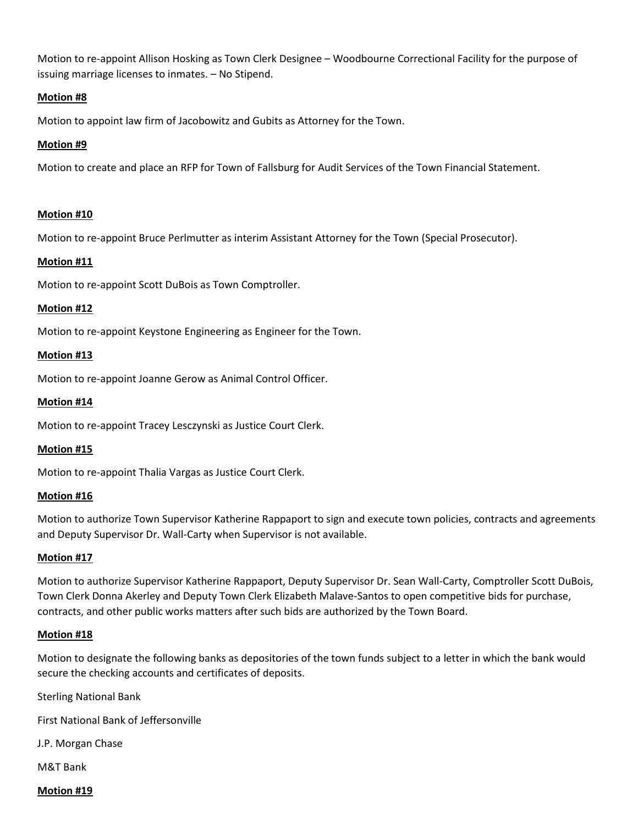Motion to re-appoint Allison Hosking as Town Clerk Designee – Woodbourne Correctional Facility for the purpose of issuing marriage licenses to inmates. – No Stipend.

# **Motion #8**

Motion to appoint law firm of Jacobowitz and Gubits as Attorney for the Town.

# **Motion #9**

Motion to create and place an RFP for Town of Fallsburg for Audit Services of the Town Financial Statement.

# **Motion #10**

Motion to re-appoint Bruce Perlmutter as interim Assistant Attorney for the Town (Special Prosecutor).

# **Motion #11**

Motion to re-appoint Scott DuBois as Town Comptroller.

#### **Motion #12**

Motion to re-appoint Keystone Engineering as Engineer for the Town.

#### **Motion #13**

Motion to re-appoint Joanne Gerow as Animal Control Officer.

#### **Motion #14**

Motion to re-appoint Tracey Lesczynski as Justice Court Clerk.

#### **Motion #15**

Motion to re-appoint Thalia Vargas as Justice Court Clerk.

#### **Motion #16**

Motion to authorize Town Supervisor Katherine Rappaport to sign and execute town policies, contracts and agreements and Deputy Supervisor Dr. Wall-Carty when Supervisor is not available.

#### **Motion #17**

Motion to authorize Supervisor Katherine Rappaport, Deputy Supervisor Dr. Sean Wall-Carty, Comptroller Scott DuBois, Town Clerk Donna Akerley and Deputy Town Clerk Elizabeth Malave-Santos to open competitive bids for purchase, contracts, and other public works matters after such bids are authorized by the Town Board.

#### **Motion #18**

Motion to designate the following banks as depositories of the town funds subject to a letter in which the bank would secure the checking accounts and certificates of deposits.

Sterling National Bank

First National Bank of Jeffersonville

J.P. Morgan Chase

M&T Bank

**Motion #19**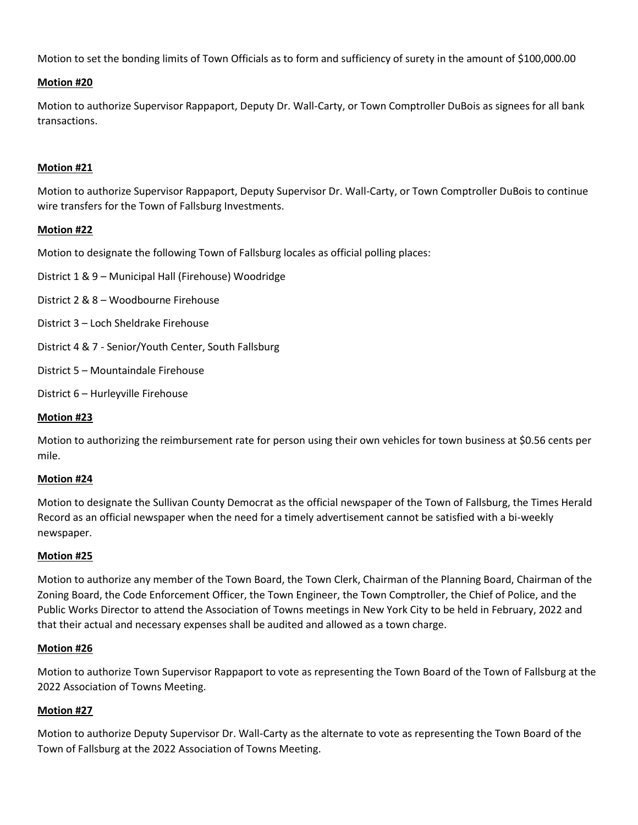Motion to set the bonding limits of Town Officials as to form and sufficiency of surety in the amount of \$100,000.00

# **Motion #20**

Motion to authorize Supervisor Rappaport, Deputy Dr. Wall-Carty, or Town Comptroller DuBois as signees for all bank transactions.

# **Motion #21**

Motion to authorize Supervisor Rappaport, Deputy Supervisor Dr. Wall-Carty, or Town Comptroller DuBois to continue wire transfers for the Town of Fallsburg Investments.

# **Motion #22**

Motion to designate the following Town of Fallsburg locales as official polling places:

- District 1 & 9 Municipal Hall (Firehouse) Woodridge
- District 2 & 8 Woodbourne Firehouse
- District 3 Loch Sheldrake Firehouse
- District 4 & 7 Senior/Youth Center, South Fallsburg
- District 5 Mountaindale Firehouse
- District 6 Hurleyville Firehouse

# **Motion #23**

Motion to authorizing the reimbursement rate for person using their own vehicles for town business at \$0.56 cents per mile.

# **Motion #24**

Motion to designate the Sullivan County Democrat as the official newspaper of the Town of Fallsburg, the Times Herald Record as an official newspaper when the need for a timely advertisement cannot be satisfied with a bi-weekly newspaper.

# **Motion #25**

Motion to authorize any member of the Town Board, the Town Clerk, Chairman of the Planning Board, Chairman of the Zoning Board, the Code Enforcement Officer, the Town Engineer, the Town Comptroller, the Chief of Police, and the Public Works Director to attend the Association of Towns meetings in New York City to be held in February, 2022 and that their actual and necessary expenses shall be audited and allowed as a town charge.

# **Motion #26**

Motion to authorize Town Supervisor Rappaport to vote as representing the Town Board of the Town of Fallsburg at the 2022 Association of Towns Meeting.

# **Motion #27**

Motion to authorize Deputy Supervisor Dr. Wall-Carty as the alternate to vote as representing the Town Board of the Town of Fallsburg at the 2022 Association of Towns Meeting.